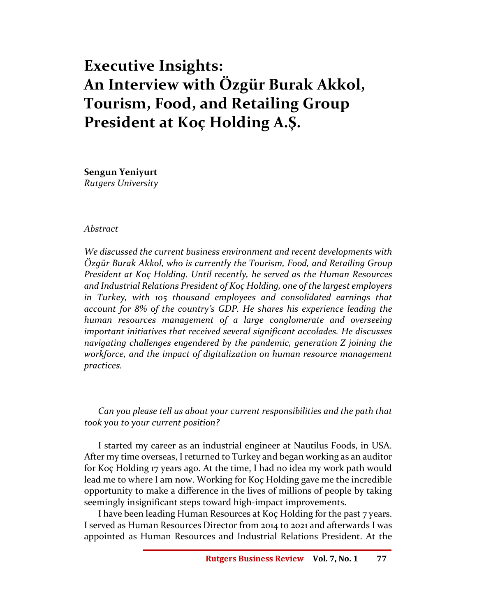# Executive Insights: An Interview with Özgür Burak Akkol, Tourism, Food, and Retailing Group President at Koç Holding A.Ş.

Sengun Yeniyurt Rutgers University

#### Abstract

We discussed the current business environment and recent developments with Özgür Burak Akkol, who is currently the Tourism, Food, and Retailing Group President at Koç Holding. Until recently, he served as the Human Resources and Industrial Relations President of Koç Holding, one of the largest employers in Turkey, with 105 thousand employees and consolidated earnings that account for 8% of the country's GDP. He shares his experience leading the human resources management of a large conglomerate and overseeing important initiatives that received several significant accolades. He discusses navigating challenges engendered by the pandemic, generation Z joining the workforce, and the impact of digitalization on human resource management practices.

## Can you please tell us about your current responsibilities and the path that took you to your current position?

I started my career as an industrial engineer at Nautilus Foods, in USA. After my time overseas, I returned to Turkey and began working as an auditor for Koç Holding 17 years ago. At the time, I had no idea my work path would lead me to where I am now. Working for Koç Holding gave me the incredible opportunity to make a difference in the lives of millions of people by taking seemingly insignificant steps toward high-impact improvements.

I have been leading Human Resources at Koç Holding for the past 7 years. I served as Human Resources Director from 2014 to 2021 and afterwards I was appointed as Human Resources and Industrial Relations President. At the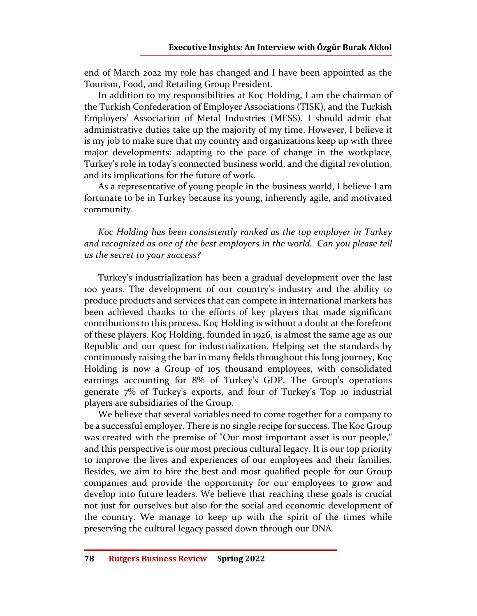end of March 2022 my role has changed and I have been appointed as the Tourism, Food, and Retailing Group President.

In addition to my responsibilities at Koç Holding, I am the chairman of the Turkish Confederation of Employer Associations (TISK), and the Turkish Employers' Association of Metal Industries (MESS). I should admit that administrative duties take up the majority of my time. However, I believe it is my job to make sure that my country and organizations keep up with three major developments: adapting to the pace of change in the workplace, Turkey's role in today's connected business world, and the digital revolution, and its implications for the future of work.

As a representative of young people in the business world, I believe I am fortunate to be in Turkey because its young, inherently agile, and motivated community.

Koc Holding has been consistently ranked as the top employer in Turkey and recognized as one of the best employers in the world. Can you please tell us the secret to your success?

Turkey's industrialization has been a gradual development over the last 100 years. The development of our country's industry and the ability to produce products and services that can compete in international markets has been achieved thanks to the efforts of key players that made significant contributions to this process. Koç Holding is without a doubt at the forefront of these players. Koç Holding, founded in 1926, is almost the same age as our Republic and our quest for industrialization. Helping set the standards by continuously raising the bar in many fields throughout this long journey, Koç Holding is now a Group of 105 thousand employees, with consolidated earnings accounting for 8% of Turkey's GDP. The Group's operations generate 7% of Turkey's exports, and four of Turkey's Top 10 industrial players are subsidiaries of the Group.

We believe that several variables need to come together for a company to be a successful employer. There is no single recipe for success. The Koc Group was created with the premise of "Our most important asset is our people," and this perspective is our most precious cultural legacy. It is our top priority to improve the lives and experiences of our employees and their families. Besides, we aim to hire the best and most qualified people for our Group companies and provide the opportunity for our employees to grow and develop into future leaders. We believe that reaching these goals is crucial not just for ourselves but also for the social and economic development of the country. We manage to keep up with the spirit of the times while preserving the cultural legacy passed down through our DNA.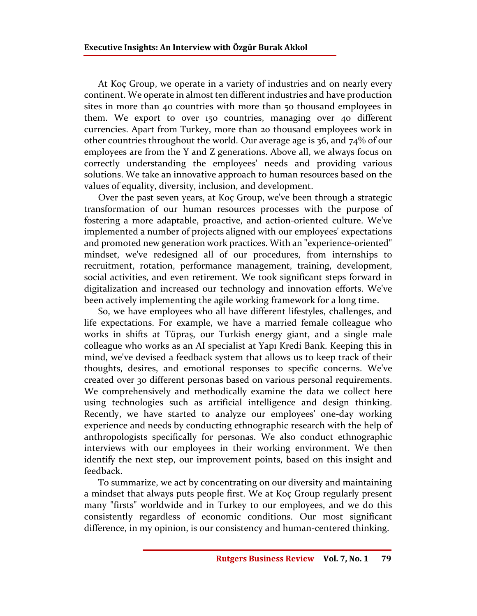At Koç Group, we operate in a variety of industries and on nearly every continent. We operate in almost ten different industries and have production sites in more than 40 countries with more than 50 thousand employees in them. We export to over 150 countries, managing over 40 different currencies. Apart from Turkey, more than 20 thousand employees work in other countries throughout the world. Our average age is 36, and 74% of our employees are from the Y and Z generations. Above all, we always focus on correctly understanding the employees' needs and providing various solutions. We take an innovative approach to human resources based on the values of equality, diversity, inclusion, and development.

Over the past seven years, at Koç Group, we've been through a strategic transformation of our human resources processes with the purpose of fostering a more adaptable, proactive, and action-oriented culture. We've implemented a number of projects aligned with our employees' expectations and promoted new generation work practices. With an "experience-oriented" mindset, we've redesigned all of our procedures, from internships to recruitment, rotation, performance management, training, development, social activities, and even retirement. We took significant steps forward in digitalization and increased our technology and innovation efforts. We've been actively implementing the agile working framework for a long time.

So, we have employees who all have different lifestyles, challenges, and life expectations. For example, we have a married female colleague who works in shifts at Tüpraş, our Turkish energy giant, and a single male colleague who works as an AI specialist at Yapı Kredi Bank. Keeping this in mind, we've devised a feedback system that allows us to keep track of their thoughts, desires, and emotional responses to specific concerns. We've created over 30 different personas based on various personal requirements. We comprehensively and methodically examine the data we collect here using technologies such as artificial intelligence and design thinking. Recently, we have started to analyze our employees' one-day working experience and needs by conducting ethnographic research with the help of anthropologists specifically for personas. We also conduct ethnographic interviews with our employees in their working environment. We then identify the next step, our improvement points, based on this insight and feedback.

To summarize, we act by concentrating on our diversity and maintaining a mindset that always puts people first. We at Koç Group regularly present many "firsts" worldwide and in Turkey to our employees, and we do this consistently regardless of economic conditions. Our most significant difference, in my opinion, is our consistency and human-centered thinking.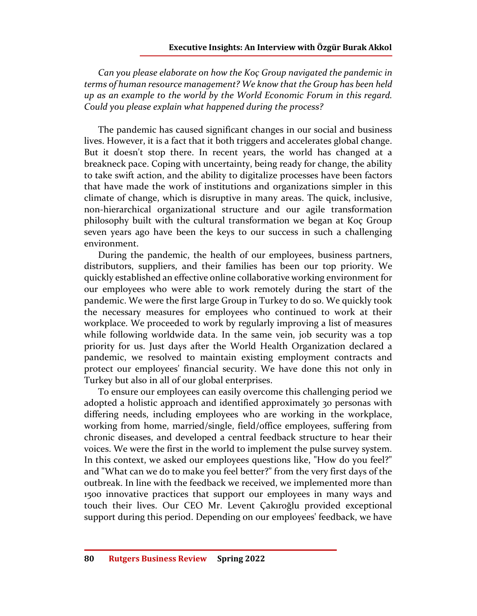Can you please elaborate on how the Koç Group navigated the pandemic in terms of human resource management? We know that the Group has been held up as an example to the world by the World Economic Forum in this regard. Could you please explain what happened during the process?

The pandemic has caused significant changes in our social and business lives. However, it is a fact that it both triggers and accelerates global change. But it doesn't stop there. In recent years, the world has changed at a breakneck pace. Coping with uncertainty, being ready for change, the ability to take swift action, and the ability to digitalize processes have been factors that have made the work of institutions and organizations simpler in this climate of change, which is disruptive in many areas. The quick, inclusive, non-hierarchical organizational structure and our agile transformation philosophy built with the cultural transformation we began at Koç Group seven years ago have been the keys to our success in such a challenging environment.

During the pandemic, the health of our employees, business partners, distributors, suppliers, and their families has been our top priority. We quickly established an effective online collaborative working environment for our employees who were able to work remotely during the start of the pandemic. We were the first large Group in Turkey to do so. We quickly took the necessary measures for employees who continued to work at their workplace. We proceeded to work by regularly improving a list of measures while following worldwide data. In the same vein, job security was a top priority for us. Just days after the World Health Organization declared a pandemic, we resolved to maintain existing employment contracts and protect our employees' financial security. We have done this not only in Turkey but also in all of our global enterprises.

To ensure our employees can easily overcome this challenging period we adopted a holistic approach and identified approximately 30 personas with differing needs, including employees who are working in the workplace, working from home, married/single, field/office employees, suffering from chronic diseases, and developed a central feedback structure to hear their voices. We were the first in the world to implement the pulse survey system. In this context, we asked our employees questions like, "How do you feel?" and "What can we do to make you feel better?" from the very first days of the outbreak. In line with the feedback we received, we implemented more than 1500 innovative practices that support our employees in many ways and touch their lives. Our CEO Mr. Levent Çakıroğlu provided exceptional support during this period. Depending on our employees' feedback, we have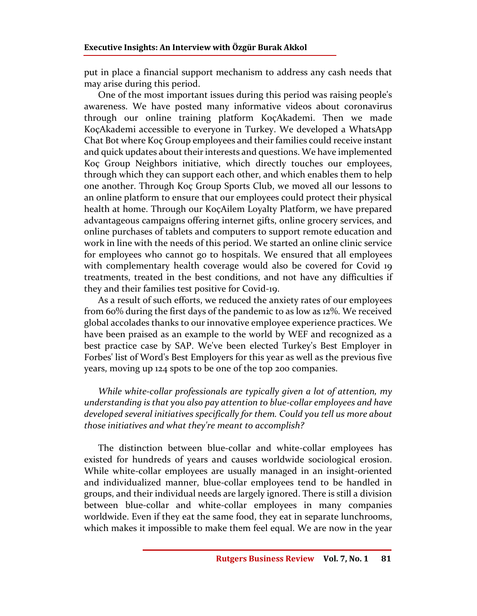put in place a financial support mechanism to address any cash needs that may arise during this period.

One of the most important issues during this period was raising people's awareness. We have posted many informative videos about coronavirus through our online training platform KoçAkademi. Then we made KoçAkademi accessible to everyone in Turkey. We developed a WhatsApp Chat Bot where Koç Group employees and their families could receive instant and quick updates about their interests and questions. We have implemented Koç Group Neighbors initiative, which directly touches our employees, through which they can support each other, and which enables them to help one another. Through Koç Group Sports Club, we moved all our lessons to an online platform to ensure that our employees could protect their physical health at home. Through our KoçAilem Loyalty Platform, we have prepared advantageous campaigns offering internet gifts, online grocery services, and online purchases of tablets and computers to support remote education and work in line with the needs of this period. We started an online clinic service for employees who cannot go to hospitals. We ensured that all employees with complementary health coverage would also be covered for Covid 19 treatments, treated in the best conditions, and not have any difficulties if they and their families test positive for Covid-19.

As a result of such efforts, we reduced the anxiety rates of our employees from 60% during the first days of the pandemic to as low as 12%. We received global accolades thanks to our innovative employee experience practices. We have been praised as an example to the world by WEF and recognized as a best practice case by SAP. We've been elected Turkey's Best Employer in Forbes' list of Word's Best Employers for this year as well as the previous five years, moving up 124 spots to be one of the top 200 companies.

While white-collar professionals are typically given a lot of attention, my understanding is that you also pay attention to blue-collar employees and have developed several initiatives specifically for them. Could you tell us more about those initiatives and what they're meant to accomplish?

The distinction between blue-collar and white-collar employees has existed for hundreds of years and causes worldwide sociological erosion. While white-collar employees are usually managed in an insight-oriented and individualized manner, blue-collar employees tend to be handled in groups, and their individual needs are largely ignored. There is still a division between blue-collar and white-collar employees in many companies worldwide. Even if they eat the same food, they eat in separate lunchrooms, which makes it impossible to make them feel equal. We are now in the year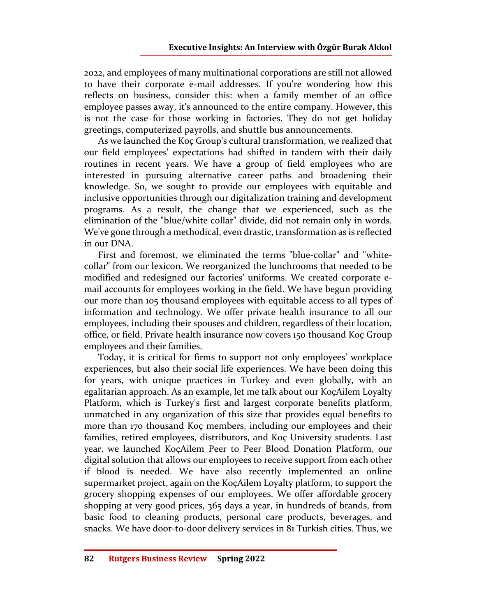2022, and employees of many multinational corporations are still not allowed to have their corporate e-mail addresses. If you're wondering how this reflects on business, consider this: when a family member of an office employee passes away, it's announced to the entire company. However, this is not the case for those working in factories. They do not get holiday greetings, computerized payrolls, and shuttle bus announcements.

As we launched the Koç Group's cultural transformation, we realized that our field employees' expectations had shifted in tandem with their daily routines in recent years. We have a group of field employees who are interested in pursuing alternative career paths and broadening their knowledge. So, we sought to provide our employees with equitable and inclusive opportunities through our digitalization training and development programs. As a result, the change that we experienced, such as the elimination of the "blue/white collar" divide, did not remain only in words. We've gone through a methodical, even drastic, transformation as is reflected in our DNA.

First and foremost, we eliminated the terms "blue-collar" and "whitecollar" from our lexicon. We reorganized the lunchrooms that needed to be modified and redesigned our factories' uniforms. We created corporate email accounts for employees working in the field. We have begun providing our more than 105 thousand employees with equitable access to all types of information and technology. We offer private health insurance to all our employees, including their spouses and children, regardless of their location, office, or field. Private health insurance now covers 150 thousand Koç Group employees and their families.

Today, it is critical for firms to support not only employees' workplace experiences, but also their social life experiences. We have been doing this for years, with unique practices in Turkey and even globally, with an egalitarian approach. As an example, let me talk about our KoçAilem Loyalty Platform, which is Turkey's first and largest corporate benefits platform, unmatched in any organization of this size that provides equal benefits to more than 170 thousand Koç members, including our employees and their families, retired employees, distributors, and Koç University students. Last year, we launched KoçAilem Peer to Peer Blood Donation Platform, our digital solution that allows our employees to receive support from each other if blood is needed. We have also recently implemented an online supermarket project, again on the KoçAilem Loyalty platform, to support the grocery shopping expenses of our employees. We offer affordable grocery shopping at very good prices, 365 days a year, in hundreds of brands, from basic food to cleaning products, personal care products, beverages, and snacks. We have door-to-door delivery services in 81 Turkish cities. Thus, we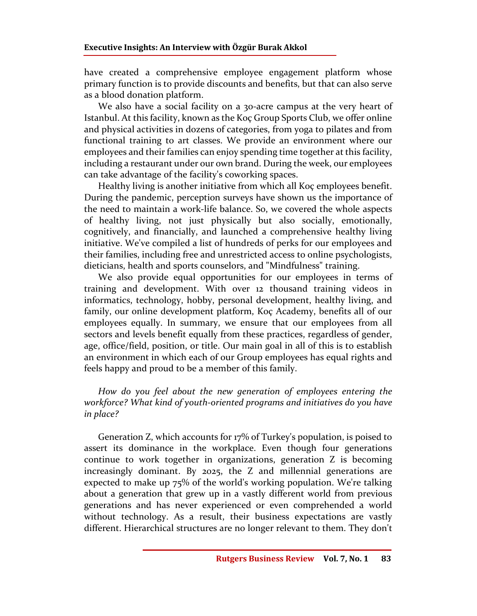have created a comprehensive employee engagement platform whose primary function is to provide discounts and benefits, but that can also serve as a blood donation platform.

We also have a social facility on a 30-acre campus at the very heart of Istanbul. At this facility, known as the Koç Group Sports Club, we offer online and physical activities in dozens of categories, from yoga to pilates and from functional training to art classes. We provide an environment where our employees and their families can enjoy spending time together at this facility, including a restaurant under our own brand. During the week, our employees can take advantage of the facility's coworking spaces.

Healthy living is another initiative from which all Koç employees benefit. During the pandemic, perception surveys have shown us the importance of the need to maintain a work-life balance. So, we covered the whole aspects of healthy living, not just physically but also socially, emotionally, cognitively, and financially, and launched a comprehensive healthy living initiative. We've compiled a list of hundreds of perks for our employees and their families, including free and unrestricted access to online psychologists, dieticians, health and sports counselors, and "Mindfulness" training.

We also provide equal opportunities for our employees in terms of training and development. With over 12 thousand training videos in informatics, technology, hobby, personal development, healthy living, and family, our online development platform, Koç Academy, benefits all of our employees equally. In summary, we ensure that our employees from all sectors and levels benefit equally from these practices, regardless of gender, age, office/field, position, or title. Our main goal in all of this is to establish an environment in which each of our Group employees has equal rights and feels happy and proud to be a member of this family.

How do you feel about the new generation of employees entering the workforce? What kind of youth-oriented programs and initiatives do you have in place?

Generation Z, which accounts for 17% of Turkey's population, is poised to assert its dominance in the workplace. Even though four generations continue to work together in organizations, generation Z is becoming increasingly dominant. By 2025, the Z and millennial generations are expected to make up 75% of the world's working population. We're talking about a generation that grew up in a vastly different world from previous generations and has never experienced or even comprehended a world without technology. As a result, their business expectations are vastly different. Hierarchical structures are no longer relevant to them. They don't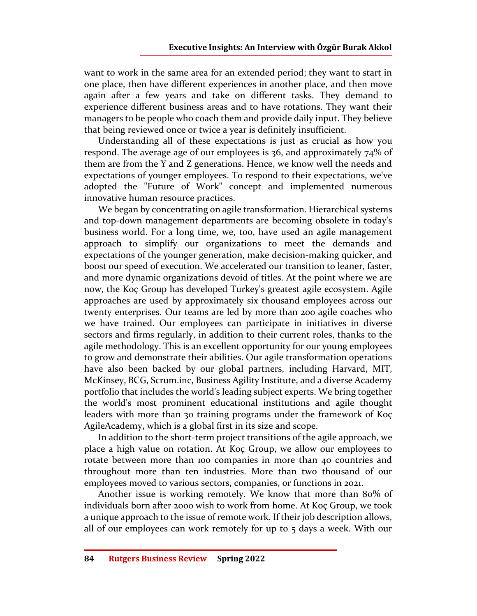want to work in the same area for an extended period; they want to start in one place, then have different experiences in another place, and then move again after a few years and take on different tasks. They demand to experience different business areas and to have rotations. They want their managers to be people who coach them and provide daily input. They believe that being reviewed once or twice a year is definitely insufficient.

Understanding all of these expectations is just as crucial as how you respond. The average age of our employees is 36, and approximately 74% of them are from the Y and Z generations. Hence, we know well the needs and expectations of younger employees. To respond to their expectations, we've adopted the "Future of Work" concept and implemented numerous innovative human resource practices.

We began by concentrating on agile transformation. Hierarchical systems and top-down management departments are becoming obsolete in today's business world. For a long time, we, too, have used an agile management approach to simplify our organizations to meet the demands and expectations of the younger generation, make decision-making quicker, and boost our speed of execution. We accelerated our transition to leaner, faster, and more dynamic organizations devoid of titles. At the point where we are now, the Koç Group has developed Turkey's greatest agile ecosystem. Agile approaches are used by approximately six thousand employees across our twenty enterprises. Our teams are led by more than 200 agile coaches who we have trained. Our employees can participate in initiatives in diverse sectors and firms regularly, in addition to their current roles, thanks to the agile methodology. This is an excellent opportunity for our young employees to grow and demonstrate their abilities. Our agile transformation operations have also been backed by our global partners, including Harvard, MIT, McKinsey, BCG, Scrum.inc, Business Agility Institute, and a diverse Academy portfolio that includes the world's leading subject experts. We bring together the world's most prominent educational institutions and agile thought leaders with more than 30 training programs under the framework of Koç AgileAcademy, which is a global first in its size and scope.

In addition to the short-term project transitions of the agile approach, we place a high value on rotation. At Koç Group, we allow our employees to rotate between more than 100 companies in more than 40 countries and throughout more than ten industries. More than two thousand of our employees moved to various sectors, companies, or functions in 2021.

Another issue is working remotely. We know that more than 80% of individuals born after 2000 wish to work from home. At Koç Group, we took a unique approach to the issue of remote work. If their job description allows, all of our employees can work remotely for up to 5 days a week. With our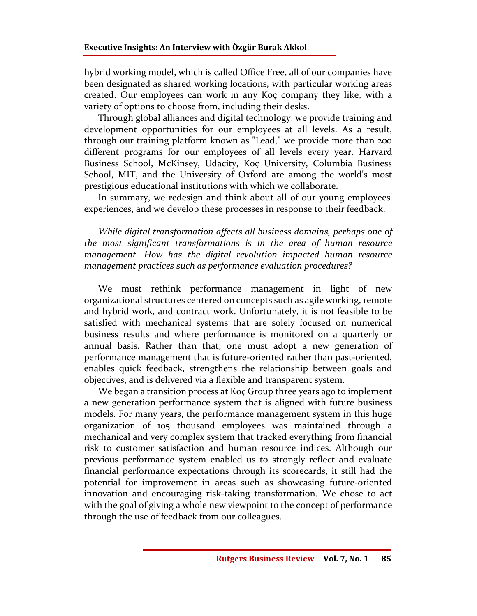hybrid working model, which is called Office Free, all of our companies have been designated as shared working locations, with particular working areas created. Our employees can work in any Koç company they like, with a variety of options to choose from, including their desks.

Through global alliances and digital technology, we provide training and development opportunities for our employees at all levels. As a result, through our training platform known as "Lead," we provide more than 200 different programs for our employees of all levels every year. Harvard Business School, McKinsey, Udacity, Koç University, Columbia Business School, MIT, and the University of Oxford are among the world's most prestigious educational institutions with which we collaborate.

In summary, we redesign and think about all of our young employees' experiences, and we develop these processes in response to their feedback.

While digital transformation affects all business domains, perhaps one of the most significant transformations is in the area of human resource management. How has the digital revolution impacted human resource management practices such as performance evaluation procedures?

We must rethink performance management in light of new organizational structures centered on concepts such as agile working, remote and hybrid work, and contract work. Unfortunately, it is not feasible to be satisfied with mechanical systems that are solely focused on numerical business results and where performance is monitored on a quarterly or annual basis. Rather than that, one must adopt a new generation of performance management that is future-oriented rather than past-oriented, enables quick feedback, strengthens the relationship between goals and objectives, and is delivered via a flexible and transparent system.

We began a transition process at Koç Group three years ago to implement a new generation performance system that is aligned with future business models. For many years, the performance management system in this huge organization of 105 thousand employees was maintained through a mechanical and very complex system that tracked everything from financial risk to customer satisfaction and human resource indices. Although our previous performance system enabled us to strongly reflect and evaluate financial performance expectations through its scorecards, it still had the potential for improvement in areas such as showcasing future-oriented innovation and encouraging risk-taking transformation. We chose to act with the goal of giving a whole new viewpoint to the concept of performance through the use of feedback from our colleagues.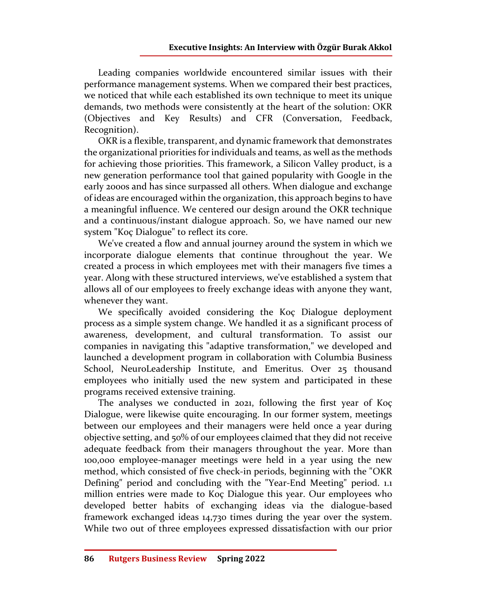Leading companies worldwide encountered similar issues with their performance management systems. When we compared their best practices, we noticed that while each established its own technique to meet its unique demands, two methods were consistently at the heart of the solution: OKR (Objectives and Key Results) and CFR (Conversation, Feedback, Recognition).

OKR is a flexible, transparent, and dynamic framework that demonstrates the organizational priorities for individuals and teams, as well as the methods for achieving those priorities. This framework, a Silicon Valley product, is a new generation performance tool that gained popularity with Google in the early 2000s and has since surpassed all others. When dialogue and exchange of ideas are encouraged within the organization, this approach begins to have a meaningful influence. We centered our design around the OKR technique and a continuous/instant dialogue approach. So, we have named our new system "Koç Dialogue" to reflect its core.

We've created a flow and annual journey around the system in which we incorporate dialogue elements that continue throughout the year. We created a process in which employees met with their managers five times a year. Along with these structured interviews, we've established a system that allows all of our employees to freely exchange ideas with anyone they want, whenever they want.

We specifically avoided considering the Koç Dialogue deployment process as a simple system change. We handled it as a significant process of awareness, development, and cultural transformation. To assist our companies in navigating this "adaptive transformation," we developed and launched a development program in collaboration with Columbia Business School, NeuroLeadership Institute, and Emeritus. Over 25 thousand employees who initially used the new system and participated in these programs received extensive training.

The analyses we conducted in 2021, following the first year of Koç Dialogue, were likewise quite encouraging. In our former system, meetings between our employees and their managers were held once a year during objective setting, and 50% of our employees claimed that they did not receive adequate feedback from their managers throughout the year. More than 100,000 employee-manager meetings were held in a year using the new method, which consisted of five check-in periods, beginning with the "OKR Defining" period and concluding with the "Year-End Meeting" period. 1.1 million entries were made to Koç Dialogue this year. Our employees who developed better habits of exchanging ideas via the dialogue-based framework exchanged ideas 14,730 times during the year over the system. While two out of three employees expressed dissatisfaction with our prior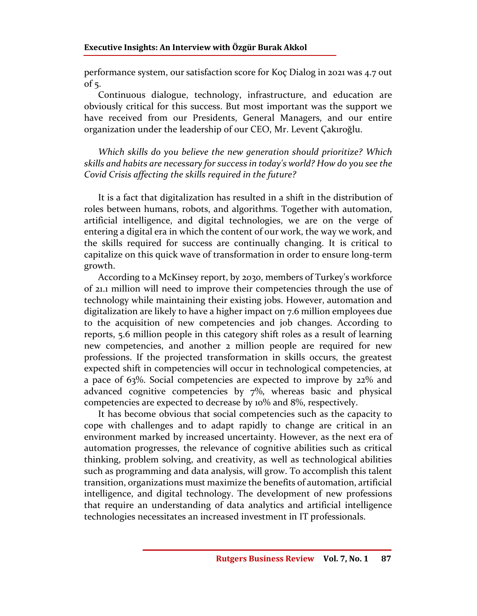performance system, our satisfaction score for Koç Dialog in 2021 was 4.7 out of  $5$ .

Continuous dialogue, technology, infrastructure, and education are obviously critical for this success. But most important was the support we have received from our Presidents, General Managers, and our entire organization under the leadership of our CEO, Mr. Levent Çakıroğlu.

Which skills do you believe the new generation should prioritize? Which skills and habits are necessary for success in today's world? How do you see the Covid Crisis affecting the skills required in the future?

It is a fact that digitalization has resulted in a shift in the distribution of roles between humans, robots, and algorithms. Together with automation, artificial intelligence, and digital technologies, we are on the verge of entering a digital era in which the content of our work, the way we work, and the skills required for success are continually changing. It is critical to capitalize on this quick wave of transformation in order to ensure long-term growth.

According to a McKinsey report, by 2030, members of Turkey's workforce of 21.1 million will need to improve their competencies through the use of technology while maintaining their existing jobs. However, automation and digitalization are likely to have a higher impact on 7.6 million employees due to the acquisition of new competencies and job changes. According to reports, 5.6 million people in this category shift roles as a result of learning new competencies, and another 2 million people are required for new professions. If the projected transformation in skills occurs, the greatest expected shift in competencies will occur in technological competencies, at a pace of 63%. Social competencies are expected to improve by 22% and advanced cognitive competencies by 7%, whereas basic and physical competencies are expected to decrease by 10% and 8%, respectively.

It has become obvious that social competencies such as the capacity to cope with challenges and to adapt rapidly to change are critical in an environment marked by increased uncertainty. However, as the next era of automation progresses, the relevance of cognitive abilities such as critical thinking, problem solving, and creativity, as well as technological abilities such as programming and data analysis, will grow. To accomplish this talent transition, organizations must maximize the benefits of automation, artificial intelligence, and digital technology. The development of new professions that require an understanding of data analytics and artificial intelligence technologies necessitates an increased investment in IT professionals.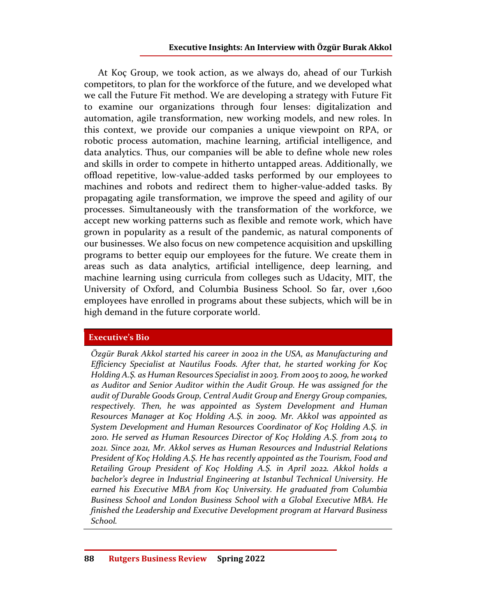At Koç Group, we took action, as we always do, ahead of our Turkish competitors, to plan for the workforce of the future, and we developed what we call the Future Fit method. We are developing a strategy with Future Fit to examine our organizations through four lenses: digitalization and automation, agile transformation, new working models, and new roles. In this context, we provide our companies a unique viewpoint on RPA, or robotic process automation, machine learning, artificial intelligence, and data analytics. Thus, our companies will be able to define whole new roles and skills in order to compete in hitherto untapped areas. Additionally, we offload repetitive, low-value-added tasks performed by our employees to machines and robots and redirect them to higher-value-added tasks. By propagating agile transformation, we improve the speed and agility of our processes. Simultaneously with the transformation of the workforce, we accept new working patterns such as flexible and remote work, which have grown in popularity as a result of the pandemic, as natural components of our businesses. We also focus on new competence acquisition and upskilling programs to better equip our employees for the future. We create them in areas such as data analytics, artificial intelligence, deep learning, and machine learning using curricula from colleges such as Udacity, MIT, the University of Oxford, and Columbia Business School. So far, over 1,600 employees have enrolled in programs about these subjects, which will be in high demand in the future corporate world.

## Executive's Bio

Özgür Burak Akkol started his career in 2002 in the USA, as Manufacturing and Efficiency Specialist at Nautilus Foods. After that, he started working for Koç Holding A.Ş. as Human Resources Specialist in 2003. From 2005 to 2009, he worked as Auditor and Senior Auditor within the Audit Group. He was assigned for the audit of Durable Goods Group, Central Audit Group and Energy Group companies, respectively. Then, he was appointed as System Development and Human Resources Manager at Koç Holding A.Ş. in 2009. Mr. Akkol was appointed as System Development and Human Resources Coordinator of Koç Holding A.Ş. in 2010. He served as Human Resources Director of Koç Holding A.Ş. from 2014 to 2021. Since 2021, Mr. Akkol serves as Human Resources and Industrial Relations President of Koç Holding A.Ş. He has recently appointed as the Tourism, Food and Retailing Group President of Koç Holding A.Ş. in April 2022. Akkol holds a bachelor's degree in Industrial Engineering at Istanbul Technical University. He earned his Executive MBA from Koç University. He graduated from Columbia Business School and London Business School with a Global Executive MBA. He finished the Leadership and Executive Development program at Harvard Business School.